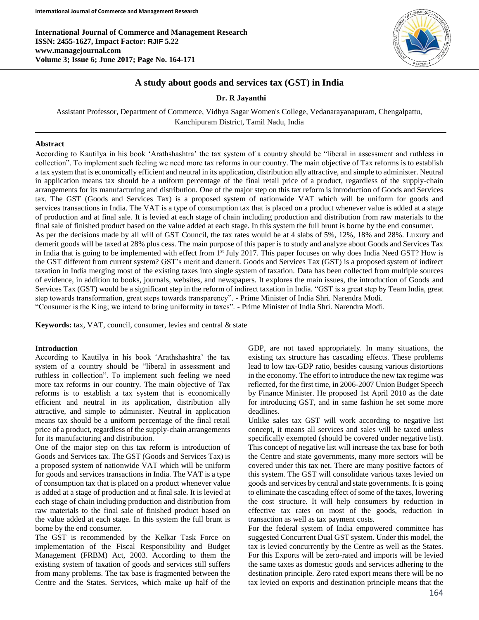**International Journal of Commerce and Management Research ISSN: 2455-1627, Impact Factor: RJIF 5.22 www.managejournal.com Volume 3; Issue 6; June 2017; Page No. 164-171**



## **A study about goods and services tax (GST) in India**

**Dr. R Jayanthi**

Assistant Professor, Department of Commerce, Vidhya Sagar Women's College, Vedanarayanapuram, Chengalpattu, Kanchipuram District, Tamil Nadu, India

#### **Abstract**

According to Kautilya in his book 'Arathshashtra' the tax system of a country should be "liberal in assessment and ruthless in collection". To implement such feeling we need more tax reforms in our country. The main objective of Tax reforms is to establish a tax system that is economically efficient and neutral in its application, distribution ally attractive, and simple to administer. Neutral in application means tax should be a uniform percentage of the final retail price of a product, regardless of the supply-chain arrangements for its manufacturing and distribution. One of the major step on this tax reform is introduction of Goods and Services tax. The GST (Goods and Services Tax) is a proposed system of nationwide VAT which will be uniform for goods and services transactions in India. The VAT is a type of consumption tax that is placed on a product whenever value is added at a stage of production and at final sale. It is levied at each stage of chain including production and distribution from raw materials to the final sale of finished product based on the value added at each stage. In this system the full brunt is borne by the end consumer. As per the decisions made by all will of GST Council, the tax rates would be at 4 slabs of 5%, 12%, 18% and 28%. Luxury and demerit goods will be taxed at 28% plus cess. The main purpose of this paper is to study and analyze about Goods and Services Tax in India that is going to be implemented with effect from 1<sup>st</sup> July 2017. This paper focuses on why does India Need GST? How is the GST different from current system? GST's merit and demerit. Goods and Services Tax (GST) is a proposed system of indirect taxation in India merging most of the existing taxes into single system of taxation. Data has been collected from multiple sources of evidence, in addition to books, journals, websites, and newspapers. It explores the main issues, the introduction of Goods and Services Tax (GST) would be a significant step in the reform of indirect taxation in India. "GST is a great step by Team India, great step towards transformation, great steps towards transparency". - Prime Minister of India Shri. Narendra Modi. "Consumer is the King; we intend to bring uniformity in taxes". - Prime Minister of India Shri. Narendra Modi.

**Keywords:** tax, VAT, council, consumer, levies and central & state

#### **Introduction**

According to Kautilya in his book 'Arathshashtra' the tax system of a country should be "liberal in assessment and ruthless in collection". To implement such feeling we need more tax reforms in our country. The main objective of Tax reforms is to establish a tax system that is economically efficient and neutral in its application, distribution ally attractive, and simple to administer. Neutral in application means tax should be a uniform percentage of the final retail price of a product, regardless of the supply-chain arrangements for its manufacturing and distribution.

One of the major step on this tax reform is introduction of Goods and Services tax. The GST (Goods and Services Tax) is a proposed system of nationwide VAT which will be uniform for goods and services transactions in India. The VAT is a type of consumption tax that is placed on a product whenever value is added at a stage of production and at final sale. It is levied at each stage of chain including production and distribution from raw materials to the final sale of finished product based on the value added at each stage. In this system the full brunt is borne by the end consumer.

The GST is recommended by the Kelkar Task Force on implementation of the Fiscal Responsibility and Budget Management (FRBM) Act, 2003. According to them the existing system of taxation of goods and services still suffers from many problems. The tax base is fragmented between the Centre and the States. Services, which make up half of the GDP, are not taxed appropriately. In many situations, the existing tax structure has cascading effects. These problems lead to low tax-GDP ratio, besides causing various distortions in the economy. The effort to introduce the new tax regime was reflected, for the first time, in 2006-2007 Union Budget Speech by Finance Minister. He proposed 1st April 2010 as the date for introducing GST, and in same fashion he set some more deadlines.

Unlike sales tax GST will work according to negative list concept, it means all services and sales will be taxed unless specifically exempted (should be covered under negative list). This concept of negative list will increase the tax base for both the Centre and state governments, many more sectors will be covered under this tax net. There are many positive factors of this system. The GST will consolidate various taxes levied on goods and services by central and state governments. It is going to eliminate the cascading effect of some of the taxes, lowering the cost structure. It will help consumers by reduction in effective tax rates on most of the goods, reduction in transaction as well as tax payment costs.

For the federal system of India empowered committee has suggested Concurrent Dual GST system. Under this model, the tax is levied concurrently by the Centre as well as the States. For this Exports will be zero-rated and imports will be levied the same taxes as domestic goods and services adhering to the destination principle. Zero rated export means there will be no tax levied on exports and destination principle means that the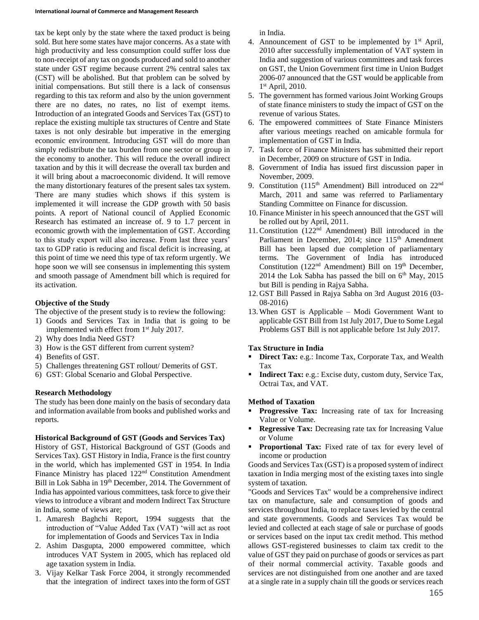tax be kept only by the state where the taxed product is being sold. But here some states have major concerns. As a state with high productivity and less consumption could suffer loss due to non-receipt of any tax on goods produced and sold to another state under GST regime because current 2% central sales tax (CST) will be abolished. But that problem can be solved by initial compensations. But still there is a lack of consensus regarding to this tax reform and also by the union government there are no dates, no rates, no list of exempt items. Introduction of an integrated Goods and Services Tax (GST) to replace the existing multiple tax structures of Centre and State taxes is not only desirable but imperative in the emerging economic environment. Introducing GST will do more than simply redistribute the tax burden from one sector or group in the economy to another. This will reduce the overall indirect taxation and by this it will decrease the overall tax burden and it will bring about a macroeconomic dividend. It will remove the many distortionary features of the present sales tax system. There are many studies which shows if this system is implemented it will increase the GDP growth with 50 basis points. A report of National council of Applied Economic Research has estimated an increase of. 9 to 1.7 percent in economic growth with the implementation of GST. According to this study export will also increase. From last three years' tax to GDP ratio is reducing and fiscal deficit is increasing, at this point of time we need this type of tax reform urgently. We hope soon we will see consensus in implementing this system and smooth passage of Amendment bill which is required for its activation.

## **Objective of the Study**

The objective of the present study is to review the following:

- 1) Goods and Services Tax in India that is going to be implemented with effect from 1<sup>st</sup> July 2017.
- 2) Why does India Need GST?
- 3) How is the GST different from current system?
- 4) Benefits of GST.
- 5) Challenges threatening GST rollout/ Demerits of GST.
- 6) GST: Global Scenario and Global Perspective.

## **Research Methodology**

The study has been done mainly on the basis of secondary data and information available from books and published works and reports.

## **Historical Background of GST (Goods and Services Tax)**

History of GST, Historical Background of GST (Goods and Services Tax). GST History in India, France is the first country in the world, which has implemented GST in 1954. In India Finance Ministry has placed 122<sup>nd</sup> Constitution Amendment Bill in Lok Sabha in 19<sup>th</sup> December, 2014. The Government of India has appointed various committees, task force to give their views to introduce a vibrant and modern Indirect Tax Structure in India, some of views are;

- 1. Amaresh Baghchi Report, 1994 suggests that the introduction of "Value Added Tax (VAT) 'will act as root for implementation of Goods and Services Tax in India
- 2. Ashim Dasgupta, 2000 empowered committee, which introduces VAT System in 2005, which has replaced old age taxation system in India.
- 3. Vijay Kelkar Task Force 2004, it strongly recommended that the integration of indirect taxes into the form of GST

in India.

- 4. Announcement of GST to be implemented by  $1<sup>st</sup>$  April, 2010 after successfully implementation of VAT system in India and suggestion of various committees and task forces on GST, the Union Government first time in Union Budget 2006-07 announced that the GST would be applicable from 1 st April, 2010.
- 5. The government has formed various Joint Working Groups of state finance ministers to study the impact of GST on the revenue of various States.
- 6. The empowered committees of State Finance Ministers after various meetings reached on amicable formula for implementation of GST in India.
- 7. Task force of Finance Ministers has submitted their report in December, 2009 on structure of GST in India.
- 8. Government of India has issued first discussion paper in November, 2009.
- 9. Constitution (115<sup>th</sup> Amendment) Bill introduced on 22<sup>nd</sup> March, 2011 and same was referred to Parliamentary Standing Committee on Finance for discussion.
- 10. Finance Minister in his speech announced that the GST will be rolled out by April, 2011.
- 11. Constitution  $(122<sup>nd</sup>$  Amendment) Bill introduced in the Parliament in December, 2014; since 115<sup>th</sup> Amendment Bill has been lapsed due completion of parliamentary terms. The Government of India has introduced Constitution (122<sup>nd</sup> Amendment) Bill on 19<sup>th</sup> December, 2014 the Lok Sabha has passed the bill on  $6<sup>th</sup>$  May, 2015 but Bill is pending in Rajya Sabha.
- 12. GST Bill Passed in Rajya Sabha on 3rd August 2016 (03- 08-2016)
- 13. When GST is Applicable Modi Government Want to applicable GST Bill from 1st July 2017, Due to Some Legal Problems GST Bill is not applicable before 1st July 2017.

## **Tax Structure in India**

- **Direct Tax:** e.g.: Income Tax, Corporate Tax, and Wealth Tax
- **Indirect Tax:** e.g.: Excise duty, custom duty, Service Tax, Octrai Tax, and VAT.

## **Method of Taxation**

- **Progressive Tax:** Increasing rate of tax for Increasing Value or Volume.
- **Regressive Tax:** Decreasing rate tax for Increasing Value or Volume
- **Proportional Tax:** Fixed rate of tax for every level of income or production

Goods and Services Tax (GST) is a proposed system of indirect taxation in India merging most of the existing taxes into single system of taxation.

"Goods and Services Tax" would be a comprehensive indirect tax on manufacture, sale and consumption of goods and services throughout India, to replace taxes levied by the central and state governments. Goods and Services Tax would be levied and collected at each stage of sale or purchase of goods or services based on the input tax credit method. This method allows GST-registered businesses to claim tax credit to the value of GST they paid on purchase of goods or services as part of their normal commercial activity. Taxable goods and services are not distinguished from one another and are taxed at a single rate in a supply chain till the goods or services reach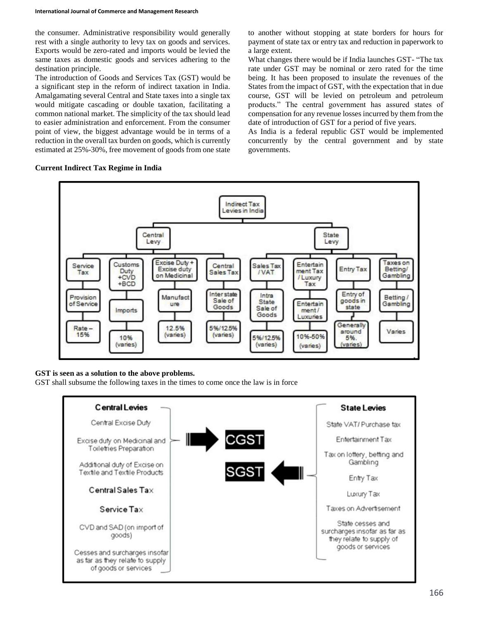the consumer. Administrative responsibility would generally rest with a single authority to levy tax on goods and services. Exports would be zero-rated and imports would be levied the same taxes as domestic goods and services adhering to the destination principle.

The introduction of Goods and Services Tax (GST) would be a significant step in the reform of indirect taxation in India. Amalgamating several Central and State taxes into a single tax would mitigate cascading or double taxation, facilitating a common national market. The simplicity of the tax should lead to easier administration and enforcement. From the consumer point of view, the biggest advantage would be in terms of a reduction in the overall tax burden on goods, which is currently estimated at 25%-30%, free movement of goods from one state

to another without stopping at state borders for hours for payment of state tax or entry tax and reduction in paperwork to a large extent.

What changes there would be if India launches GST- "The tax rate under GST may be nominal or zero rated for the time being. It has been proposed to insulate the revenues of the States from the impact of GST, with the expectation that in due course, GST will be levied on petroleum and petroleum products." The central government has assured states of compensation for any revenue losses incurred by them from the date of introduction of GST for a period of five years.

As India is a federal republic GST would be implemented concurrently by the central government and by state governments.



## **Current Indirect Tax Regime in India**

## **GST is seen as a solution to the above problems.**

GST shall subsume the following taxes in the times to come once the law is in force

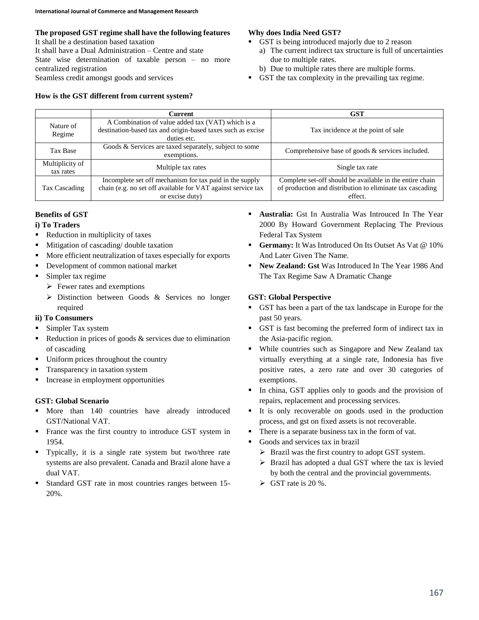## **The proposed GST regime shall have the following features**

It shall be a destination based taxation It shall have a Dual Administration – Centre and state State wise determination of taxable person – no more centralized registration Seamless credit amongst goods and services

## **How is the GST different from current system?**

# **Why does India Need GST?**

- GST is being introduced majorly due to 2 reason
	- a) The current indirect tax structure is full of uncertainties due to multiple rates.
	- b) Due to multiple rates there are multiple forms.
- GST the tax complexity in the prevailing tax regime.

|                              | Current                                                                                                                                    | <b>GST</b>                                                                                                                       |
|------------------------------|--------------------------------------------------------------------------------------------------------------------------------------------|----------------------------------------------------------------------------------------------------------------------------------|
| Nature of<br>Regime          | A Combination of value added tax (VAT) which is a<br>destination-based tax and origin-based taxes such as excise<br>duties etc.            | Tax incidence at the point of sale                                                                                               |
| Tax Base                     | Goods & Services are taxed separately, subject to some<br>exemptions.                                                                      | Comprehensive base of goods $\&$ services included.                                                                              |
| Multiplicity of<br>tax rates | Multiple tax rates                                                                                                                         | Single tax rate                                                                                                                  |
| Tax Cascading                | Incomplete set off mechanism for tax paid in the supply<br>chain (e.g. no set off available for VAT against service tax<br>or excise duty) | Complete set-off should be available in the entire chain<br>of production and distribution to eliminate tax cascading<br>effect. |

## **Benefits of GST**

# **i) To Traders**

- Reduction in multiplicity of taxes
- **Mitigation of cascading/ double taxation**
- More efficient neutralization of taxes especially for exports
- **•** Development of common national market
- Simpler tax regime
	- $\triangleright$  Fewer rates and exemptions
	- $\triangleright$  Distinction between Goods & Services no longer required

# **ii) To Consumers**

- **Simpler Tax system**
- Reduction in prices of goods  $&$  services due to elimination of cascading
- Uniform prices throughout the country
- **Transparency in taxation system**
- Increase in employment opportunities

# **GST: Global Scenario**

- More than 140 countries have already introduced GST/National VAT.
- **France was the first country to introduce GST system in** 1954.
- Typically, it is a single rate system but two/three rate systems are also prevalent. Canada and Brazil alone have a dual VAT.
- Standard GST rate in most countries ranges between 15- 20%.
- **Australia:** Gst In Australia Was Introuced In The Year 2000 By Howard Government Replacing The Previous Federal Tax System
- **Germany:** It Was Introduced On Its Outset As Vat @ 10% And Later Given The Name.
- **New Zealand: Gst** Was Introduced In The Year 1986 And The Tax Regime Saw A Dramatic Change

# **GST: Global Perspective**

- GST has been a part of the tax landscape in Europe for the past 50 years.
- GST is fast becoming the preferred form of indirect tax in the Asia-pacific region.
- While countries such as Singapore and New Zealand tax virtually everything at a single rate, Indonesia has five positive rates, a zero rate and over 30 categories of exemptions.
- In china, GST applies only to goods and the provision of repairs, replacement and processing services.
- It is only recoverable on goods used in the production process, and gst on fixed assets is not recoverable.
- There is a separate business tax in the form of vat.
- Goods and services tax in brazil
	- $\triangleright$  Brazil was the first country to adopt GST system.
	- $\triangleright$  Brazil has adopted a dual GST where the tax is levied by both the central and the provincial governments.
	- $\triangleright$  GST rate is 20 %.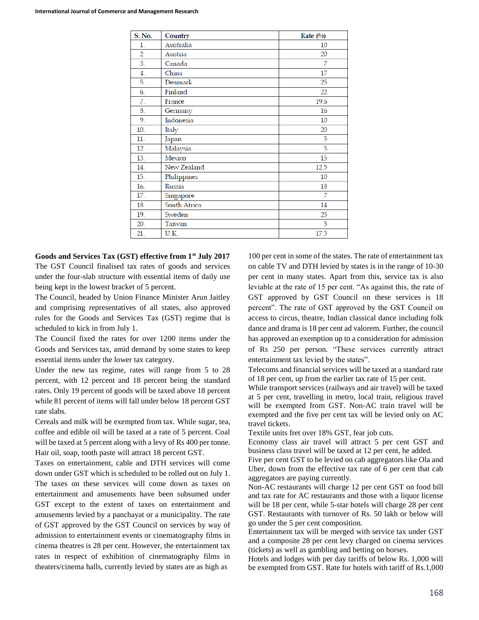| <b>S. No.</b>    | Country      | Rate $(%)$ |
|------------------|--------------|------------|
| $\mathbf{1}$ .   | Australia    | 10         |
| $\overline{2}$ . | Austria      | 20         |
| 3.               | Canada       | 7          |
| 4.               | China        | 17         |
| 5.               | Denmark      | 25         |
| 6.               | Finland      | 22         |
| 7.               | France       | 19.6       |
| 8.               | Germany      | 16         |
| 9.               | Indonesia    | 10         |
| 10.              | Italy        | 20         |
| 11.              | Japan        | 5          |
| 12.              | Malaysia     | 5          |
| 13.              | Mexico       | 15         |
| 14.              | New Zealand  | 12.5       |
| 15.              | Philippines  | 10         |
| 16.              | Russia       | 18         |
| 17.              | Singapore    | 7          |
| 18.              | South Africa | 14         |
| 19.              | Sweden       | 25         |
| 20.              | Taiwan       | 5          |
| 21.              | U.K.         | 17.5       |

**Goods and Services Tax (GST) effective from 1st July 2017** The GST Council finalised tax rates of goods and services under the four-slab structure with essential items of daily use being kept in the lowest bracket of 5 percent.

The Council, headed by Union Finance Minister Arun Jaitley and comprising representatives of all states, also approved rules for the Goods and Services Tax (GST) regime that is scheduled to kick in from July 1.

The Council fixed the rates for over 1200 items under the Goods and Services tax, amid demand by some states to keep essential items under the lower tax category.

Under the new tax regime, rates will range from 5 to 28 percent, with 12 percent and 18 percent being the standard rates. Only 19 percent of goods will be taxed above 18 percent while 81 percent of items will fall under below 18 percent GST rate slabs.

Cereals and milk will be exempted from tax. While sugar, tea, coffee and edible oil will be taxed at a rate of 5 percent. Coal will be taxed at 5 percent along with a levy of Rs 400 per tonne. Hair oil, soap, tooth paste will attract 18 percent GST.

Taxes on entertainment, cable and DTH services will come down under GST which is scheduled to be rolled out on July 1. The taxes on these services will come down as taxes on entertainment and amusements have been subsumed under GST except to the extent of taxes on entertainment and amusements levied by a panchayat or a municipality. The rate of GST approved by the GST Council on services by way of admission to entertainment events or cinematography films in cinema theatres is 28 per cent. However, the entertainment tax rates in respect of exhibition of cinematography films in theaters/cinema halls, currently levied by states are as high as

100 per cent in some of the states. The rate of entertainment tax on cable TV and DTH levied by states is in the range of 10-30 per cent in many states. Apart from this, service tax is also leviable at the rate of 15 per cent. "As against this, the rate of GST approved by GST Council on these services is 18 percent". The rate of GST approved by the GST Council on access to circus, theatre, Indian classical dance including folk dance and drama is 18 per cent ad valorem. Further, the council has approved an exemption up to a consideration for admission of Rs 250 per person. "These services currently attract entertainment tax levied by the states".

Telecoms and financial services will be taxed at a standard rate of 18 per cent, up from the earlier tax rate of 15 per cent.

While transport services (railways and air travel) will be taxed at 5 per cent, travelling in metro, local train, religious travel will be exempted from GST. Non-AC train travel will be exempted and the five per cent tax will be levied only on AC travel tickets.

Textile units fret over 18% GST, fear job cuts.

Economy class air travel will attract 5 per cent GST and business class travel will be taxed at 12 per cent, he added.

Five per cent GST to be levied on cab aggregators like Ola and Uber, down from the effective tax rate of 6 per cent that cab aggregators are paying currently.

Non-AC restaurants will charge 12 per cent GST on food bill and tax rate for AC restaurants and those with a liquor license will be 18 per cent, while 5-star hotels will charge 28 per cent GST. Restaurants with turnover of Rs. 50 lakh or below will go under the 5 per cent composition.

Entertainment tax will be merged with service tax under GST and a composite 28 per cent levy charged on cinema services (tickets) as well as gambling and betting on horses.

Hotels and lodges with per day tariffs of below Rs. 1,000 will be exempted from GST. Rate for hotels with tariff of Rs.1,000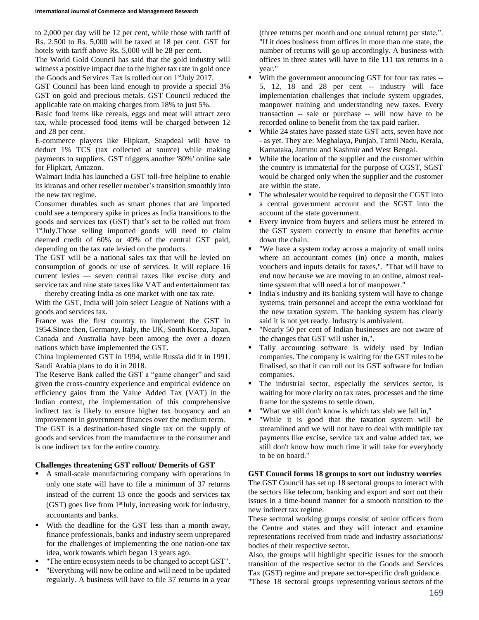to 2,000 per day will be 12 per cent, while those with tariff of Rs. 2,500 to Rs. 5,000 will be taxed at 18 per cent. GST for hotels with tariff above Rs. 5,000 will be 28 per cent.

The World Gold Council has said that the gold industry will witness a positive impact due to the higher tax rate in gold once the Goods and Services Tax is rolled out on 1<sup>st</sup>July 2017.

GST Council has been kind enough to provide a special 3% GST on gold and precious metals. GST Council reduced the applicable rate on making charges from 18% to just 5%.

Basic food items like cereals, eggs and meat will attract zero tax, while processed food items will be charged between 12 and 28 per cent.

E-commerce players like Flipkart, Snapdeal will have to deduct 1% TCS (tax collected at source) while making payments to suppliers. GST triggers another '80%' online sale for Flipkart, Amazon.

Walmart India has launched a GST toll-free helpline to enable its kiranas and other reseller member's transition smoothly into the new tax regime.

Consumer durables such as smart phones that are imported could see a temporary spike in prices as India transitions to the goods and services tax (GST) that's set to be rolled out from 1 stJuly.Those selling imported goods will need to claim deemed credit of 60% or 40% of the central GST paid, depending on the tax rate levied on the products.

The GST will be a national sales tax that will be levied on consumption of goods or use of services. It will replace 16 current levies — seven central taxes like excise duty and service tax and nine state taxes like VAT and entertainment tax — thereby creating India as one market with one tax rate.

With the GST, India will join select League of Nations with a goods and services tax.

France was the first country to implement the GST in 1954.Since then, Germany, Italy, the UK, South Korea, Japan, Canada and Australia have been among the over a dozen nations which have implemented the GST.

China implemented GST in 1994, while Russia did it in 1991. Saudi Arabia plans to do it in 2018.

The Reserve Bank called the GST a "game changer" and said given the cross-country experience and empirical evidence on efficiency gains from the Value Added Tax (VAT) in the Indian context, the implementation of this comprehensive indirect tax is likely to ensure higher tax buoyancy and an improvement in government finances over the medium term.

The GST is a destination-based single tax on the supply of goods and services from the manufacturer to the consumer and is one indirect tax for the entire country.

## **Challenges threatening GST rollout/ Demerits of GST**

- A small-scale manufacturing company with operations in only one state will have to file a minimum of 37 returns instead of the current 13 once the goods and services tax  $(GST)$  goes live from  $1$ <sup>st</sup>July, increasing work for industry, accountants and banks.
- With the deadline for the GST less than a month away, finance professionals, banks and industry seem unprepared for the challenges of implementing the one nation-one tax idea, work towards which began 13 years ago.
- "The entire ecosystem needs to be changed to accept GST".
- "Everything will now be online and will need to be updated regularly. A business will have to file 37 returns in a year

(three returns per month and one annual return) per state,". "If it does business from offices in more than one state, the number of returns will go up accordingly. A business with offices in three states will have to file 111 tax returns in a year."

- With the government announcing GST for four tax rates -- 5, 12, 18 and 28 per cent -- industry will face implementation challenges that include system upgrades, manpower training and understanding new taxes. Every transaction -- sale or purchase -- will now have to be recorded online to benefit from the tax paid earlier.
- While 24 states have passed state GST acts, seven have not - as yet. They are: Meghalaya, Punjab, Tamil Nadu, Kerala, Karnataka, Jammu and Kashmir and West Bengal.
- While the location of the supplier and the customer within the country is immaterial for the purpose of CGST, SGST would be charged only when the supplier and the customer are within the state.
- The wholesaler would be required to deposit the CGST into a central government account and the SGST into the account of the state government.
- Every invoice from buyers and sellers must be entered in the GST system correctly to ensure that benefits accrue down the chain.
- "We have a system today across a majority of small units where an accountant comes (in) once a month, makes vouchers and inputs details for taxes,". "That will have to end now because we are moving to an online, almost realtime system that will need a lot of manpower."
- India's industry and its banking system will have to change systems, train personnel and accept the extra workload for the new taxation system. The banking system has clearly said it is not yet ready. Industry is ambivalent.
- "Nearly 50 per cent of Indian businesses are not aware of the changes that GST will usher in,".
- Tally accounting software is widely used by Indian companies. The company is waiting for the GST rules to be finalised, so that it can roll out its GST software for Indian companies.
- The industrial sector, especially the services sector, is waiting for more clarity on tax rates, processes and the time frame for the systems to settle down.
- "What we still don't know is which tax slab we fall in,"
- "While it is good that the taxation system will be streamlined and we will not have to deal with multiple tax payments like excise, service tax and value added tax, we still don't know how much time it will take for everybody to be on board."

## **GST Council forms 18 groups to sort out industry worries**

The GST Council has set up 18 sectoral groups to interact with the sectors like telecom, banking and export and sort out their issues in a time-bound manner for a smooth transition to the new indirect tax regime.

These sectoral working groups consist of senior officers from the Centre and states and they will interact and examine representations received from trade and industry associations/ bodies of their respective sector.

Also, the groups will highlight specific issues for the smooth transition of the respective sector to the Goods and Services Tax (GST) regime and prepare sector-specific draft guidance.

"These 18 sectoral groups representing various sectors of the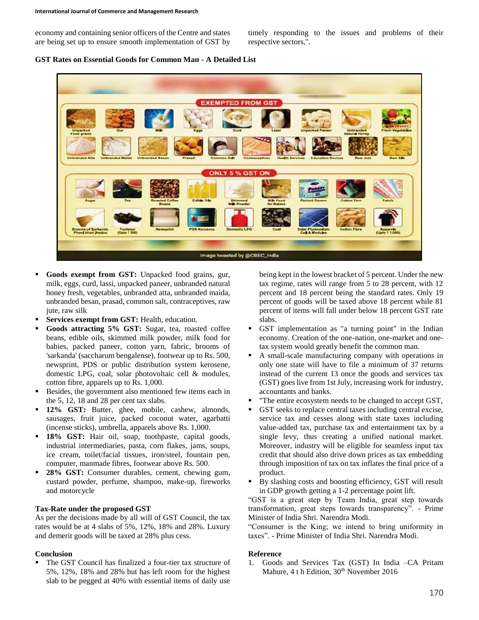economy and containing senior officers of the Centre and states are being set up to ensure smooth implementation of GST by timely responding to the issues and problems of their respective sectors,".

**GST Rates on Essential Goods for Common Man - A Detailed List**



- **Goods exempt from GST:** Unpacked food grains, gur, milk, eggs, curd, lassi, unpacked paneer, unbranded natural honey fresh, vegetables, unbranded atta, unbranded maida, unbranded besan, prasad, common salt, contraceptives, raw jute, raw silk
- **Services exempt from GST:** Health, education.
- **Goods attracting 5% GST:** Sugar, tea, roasted coffee beans, edible oils, skimmed milk powder, milk food for babies, packed paneer, cotton yarn, fabric, brooms of 'sarkanda' (saccharum bengalense), footwear up to Rs. 500, newsprint, PDS or public distribution system kerosene, domestic LPG, coal, solar photovoltaic cell & modules, cotton fibre, apparels up to Rs. 1,000.
- Besides, the government also mentioned few items each in the 5, 12, 18 and 28 per cent tax slabs.
- **12% GST:** Butter, ghee, mobile, cashew, almonds, sausages, fruit juice, packed coconut water, agarbatti (incense sticks), umbrella, apparels above Rs. 1,000.
- **18% GST:** Hair oil, soap, toothpaste, capital goods, industrial intermediaries, pasta, corn flakes, jams, soups, ice cream, toilet/facial tissues, iron/steel, fountain pen, computer, manmade fibres, footwear above Rs. 500.
- **28% GST:** Consumer durables, cement, chewing gum, custard powder, perfume, shampoo, make-up, fireworks and motorcycle

#### **Tax-Rate under the proposed GST**

As per the decisions made by all will of GST Council, the tax rates would be at 4 slabs of 5%, 12%, 18% and 28%. Luxury and demerit goods will be taxed at 28% plus cess.

#### **Conclusion**

 The GST Council has finalized a four-tier tax structure of 5%, 12%, 18% and 28% but has left room for the highest slab to be pegged at 40% with essential items of daily use

being kept in the lowest bracket of 5 percent. Under the new tax regime, rates will range from 5 to 28 percent, with 12 percent and 18 percent being the standard rates. Only 19 percent of goods will be taxed above 18 percent while 81 percent of items will fall under below 18 percent GST rate slabs.

- GST implementation as "a turning point" in the Indian economy. Creation of the one-nation, one-market and onetax system would greatly benefit the common man.
- A small-scale manufacturing company with operations in only one state will have to file a minimum of 37 returns instead of the current 13 once the goods and services tax (GST) goes live from 1st July, increasing work for industry, accountants and banks.
- "The entire ecosystem needs to be changed to accept GST,
- GST seeks to replace central taxes including central excise, service tax and cesses along with state taxes including value-added tax, purchase tax and entertainment tax by a single levy, thus creating a unified national market. Moreover, industry will be eligible for seamless input tax credit that should also drive down prices as tax embedding through imposition of tax on tax inflates the final price of a product.
- By slashing costs and boosting efficiency, GST will result in GDP growth getting a 1-2 percentage point lift.

"GST is a great step by Team India, great step towards transformation, great steps towards transparency". - Prime Minister of India Shri. Narendra Modi.

"Consumer is the King; we intend to bring uniformity in taxes". - Prime Minister of India Shri. Narendra Modi.

#### **Reference**

1. Goods and Services Tax (GST) In India –CA Pritam Mahure, 4 t h Edition, 30<sup>th</sup> November 2016